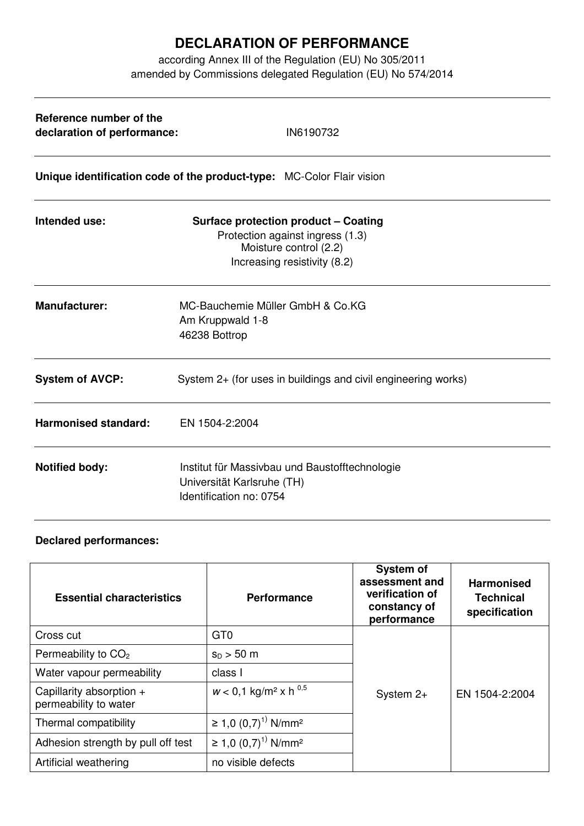## **DECLARATION OF PERFORMANCE**

according Annex III of the Regulation (EU) No 305/2011 amended by Commissions delegated Regulation (EU) No 574/2014

| Reference number of the<br>declaration of performance:                | IN6190732                                                                                                                                 |  |  |  |
|-----------------------------------------------------------------------|-------------------------------------------------------------------------------------------------------------------------------------------|--|--|--|
| Unique identification code of the product-type: MC-Color Flair vision |                                                                                                                                           |  |  |  |
| Intended use:                                                         | <b>Surface protection product - Coating</b><br>Protection against ingress (1.3)<br>Moisture control (2.2)<br>Increasing resistivity (8.2) |  |  |  |
| <b>Manufacturer:</b>                                                  | MC-Bauchemie Müller GmbH & Co.KG<br>Am Kruppwald 1-8<br>46238 Bottrop                                                                     |  |  |  |
| <b>System of AVCP:</b>                                                | System 2+ (for uses in buildings and civil engineering works)                                                                             |  |  |  |
| <b>Harmonised standard:</b>                                           | EN 1504-2:2004                                                                                                                            |  |  |  |
| <b>Notified body:</b>                                                 | Institut für Massivbau und Baustofftechnologie<br>Universität Karlsruhe (TH)<br>Identification no: 0754                                   |  |  |  |

## **Declared performances:**

| <b>Essential characteristics</b>                  | <b>Performance</b>                               | <b>System of</b><br>assessment and<br>verification of<br>constancy of<br>performance | <b>Harmonised</b><br><b>Technical</b><br>specification |
|---------------------------------------------------|--------------------------------------------------|--------------------------------------------------------------------------------------|--------------------------------------------------------|
| Cross cut                                         | GT <sub>0</sub>                                  |                                                                                      |                                                        |
| Permeability to $CO2$                             | $s_0 > 50$ m                                     |                                                                                      |                                                        |
| Water vapour permeability                         | class I                                          |                                                                                      |                                                        |
| Capillarity absorption +<br>permeability to water | $w < 0.1$ kg/m <sup>2</sup> x h <sup>0.5</sup>   | System $2+$                                                                          | EN 1504-2:2004                                         |
| Thermal compatibility                             | ≥ 1,0 $(0,7)^{1}$ N/mm <sup>2</sup>              |                                                                                      |                                                        |
| Adhesion strength by pull off test                | $\geq$ 1,0 (0,7) <sup>1)</sup> N/mm <sup>2</sup> |                                                                                      |                                                        |
| Artificial weathering                             | no visible defects                               |                                                                                      |                                                        |